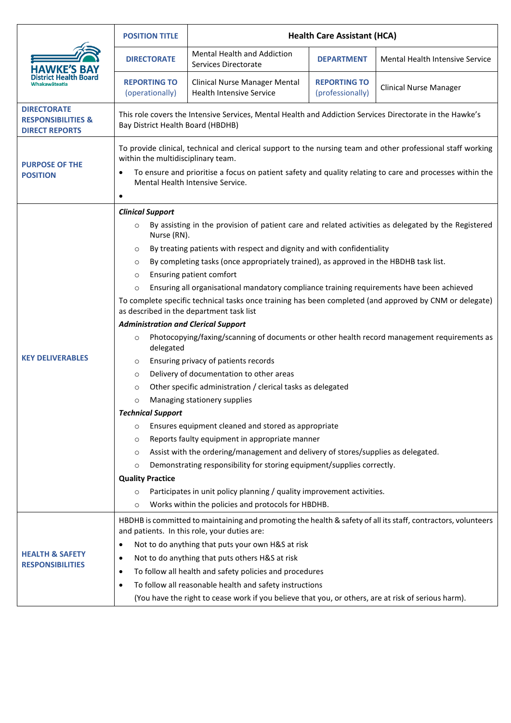|                                                                              | <b>POSITION TITLE</b>                                                                                                                                                                                                                                                                                                                                                                                                                                                                                                                                                                                                                                                                                                                                                                                                                                                                                                                                                                                                                                                                                                                                                                                                                                                                                                                                                                                                                                                                                                                                                                        | <b>Health Care Assistant (HCA)</b>                                      |                                         |                                 |  |
|------------------------------------------------------------------------------|----------------------------------------------------------------------------------------------------------------------------------------------------------------------------------------------------------------------------------------------------------------------------------------------------------------------------------------------------------------------------------------------------------------------------------------------------------------------------------------------------------------------------------------------------------------------------------------------------------------------------------------------------------------------------------------------------------------------------------------------------------------------------------------------------------------------------------------------------------------------------------------------------------------------------------------------------------------------------------------------------------------------------------------------------------------------------------------------------------------------------------------------------------------------------------------------------------------------------------------------------------------------------------------------------------------------------------------------------------------------------------------------------------------------------------------------------------------------------------------------------------------------------------------------------------------------------------------------|-------------------------------------------------------------------------|-----------------------------------------|---------------------------------|--|
|                                                                              | <b>DIRECTORATE</b>                                                                                                                                                                                                                                                                                                                                                                                                                                                                                                                                                                                                                                                                                                                                                                                                                                                                                                                                                                                                                                                                                                                                                                                                                                                                                                                                                                                                                                                                                                                                                                           | Mental Health and Addiction<br>Services Directorate                     | <b>DEPARTMENT</b>                       | Mental Health Intensive Service |  |
|                                                                              | <b>REPORTING TO</b><br>(operationally)                                                                                                                                                                                                                                                                                                                                                                                                                                                                                                                                                                                                                                                                                                                                                                                                                                                                                                                                                                                                                                                                                                                                                                                                                                                                                                                                                                                                                                                                                                                                                       | <b>Clinical Nurse Manager Mental</b><br><b>Health Intensive Service</b> | <b>REPORTING TO</b><br>(professionally) | <b>Clinical Nurse Manager</b>   |  |
| <b>DIRECTORATE</b><br><b>RESPONSIBILITIES &amp;</b><br><b>DIRECT REPORTS</b> | This role covers the Intensive Services, Mental Health and Addiction Services Directorate in the Hawke's<br>Bay District Health Board (HBDHB)                                                                                                                                                                                                                                                                                                                                                                                                                                                                                                                                                                                                                                                                                                                                                                                                                                                                                                                                                                                                                                                                                                                                                                                                                                                                                                                                                                                                                                                |                                                                         |                                         |                                 |  |
| <b>PURPOSE OF THE</b><br><b>POSITION</b>                                     | To provide clinical, technical and clerical support to the nursing team and other professional staff working<br>within the multidisciplinary team.<br>To ensure and prioritise a focus on patient safety and quality relating to care and processes within the<br>٠<br>Mental Health Intensive Service.<br>٠                                                                                                                                                                                                                                                                                                                                                                                                                                                                                                                                                                                                                                                                                                                                                                                                                                                                                                                                                                                                                                                                                                                                                                                                                                                                                 |                                                                         |                                         |                                 |  |
| <b>KEY DELIVERABLES</b>                                                      | <b>Clinical Support</b><br>By assisting in the provision of patient care and related activities as delegated by the Registered<br>$\circ$<br>Nurse (RN).<br>By treating patients with respect and dignity and with confidentiality<br>$\circ$<br>By completing tasks (once appropriately trained), as approved in the HBDHB task list.<br>$\circ$<br>Ensuring patient comfort<br>$\circ$<br>Ensuring all organisational mandatory compliance training requirements have been achieved<br>$\circ$<br>To complete specific technical tasks once training has been completed (and approved by CNM or delegate)<br>as described in the department task list<br><b>Administration and Clerical Support</b><br>Photocopying/faxing/scanning of documents or other health record management requirements as<br>$\circ$<br>delegated<br>Ensuring privacy of patients records<br>$\circ$<br>Delivery of documentation to other areas<br>$\circ$<br>Other specific administration / clerical tasks as delegated<br>$\circ$<br>Managing stationery supplies<br>$\circ$<br><b>Technical Support</b><br>Ensures equipment cleaned and stored as appropriate<br>$\circ$<br>Reports faulty equipment in appropriate manner<br>$\circ$<br>Assist with the ordering/management and delivery of stores/supplies as delegated.<br>$\circ$<br>Demonstrating responsibility for storing equipment/supplies correctly.<br>$\circ$<br><b>Quality Practice</b><br>Participates in unit policy planning / quality improvement activities.<br>$\circ$<br>Works within the policies and protocols for HBDHB.<br>$\circ$ |                                                                         |                                         |                                 |  |
| <b>HEALTH &amp; SAFETY</b><br><b>RESPONSIBILITIES</b>                        | HBDHB is committed to maintaining and promoting the health & safety of all its staff, contractors, volunteers<br>and patients. In this role, your duties are:<br>Not to do anything that puts your own H&S at risk<br>٠<br>Not to do anything that puts others H&S at risk<br>٠<br>To follow all health and safety policies and procedures<br>٠<br>To follow all reasonable health and safety instructions<br>٠<br>(You have the right to cease work if you believe that you, or others, are at risk of serious harm).                                                                                                                                                                                                                                                                                                                                                                                                                                                                                                                                                                                                                                                                                                                                                                                                                                                                                                                                                                                                                                                                       |                                                                         |                                         |                                 |  |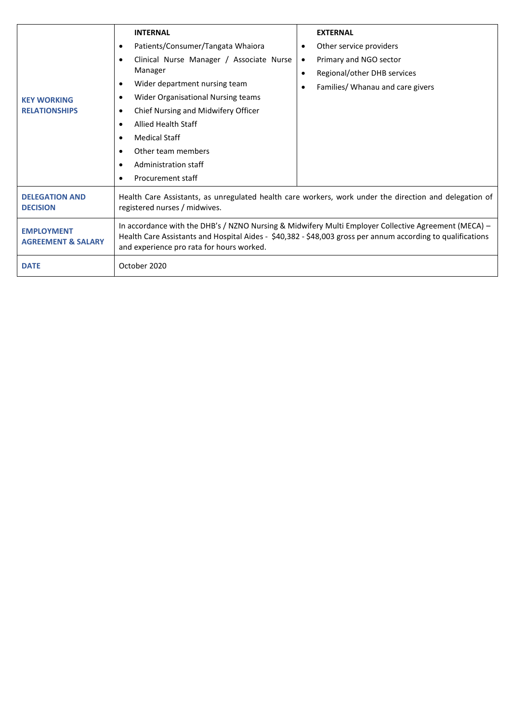| <b>KEY WORKING</b><br><b>RELATIONSHIPS</b>         | <b>INTERNAL</b><br>Patients/Consumer/Tangata Whaiora<br>٠<br>Clinical Nurse Manager / Associate Nurse<br>$\bullet$<br>Manager<br>Wider department nursing team<br>٠<br>Wider Organisational Nursing teams<br>٠<br>Chief Nursing and Midwifery Officer<br>٠<br>Allied Health Staff<br>$\bullet$<br><b>Medical Staff</b><br>$\bullet$<br>Other team members<br>$\bullet$<br>Administration staff<br>٠<br>Procurement staff<br>٠ |  | <b>EXTERNAL</b><br>Other service providers<br>Primary and NGO sector<br>Regional/other DHB services<br>Families/ Whanau and care givers |  |  |
|----------------------------------------------------|-------------------------------------------------------------------------------------------------------------------------------------------------------------------------------------------------------------------------------------------------------------------------------------------------------------------------------------------------------------------------------------------------------------------------------|--|-----------------------------------------------------------------------------------------------------------------------------------------|--|--|
| <b>DELEGATION AND</b><br><b>DECISION</b>           | Health Care Assistants, as unregulated health care workers, work under the direction and delegation of<br>registered nurses / midwives.                                                                                                                                                                                                                                                                                       |  |                                                                                                                                         |  |  |
| <b>EMPLOYMENT</b><br><b>AGREEMENT &amp; SALARY</b> | In accordance with the DHB's / NZNO Nursing & Midwifery Multi Employer Collective Agreement (MECA) -<br>Health Care Assistants and Hospital Aides - \$40,382 - \$48,003 gross per annum according to qualifications<br>and experience pro rata for hours worked.                                                                                                                                                              |  |                                                                                                                                         |  |  |
| <b>DATE</b>                                        | October 2020                                                                                                                                                                                                                                                                                                                                                                                                                  |  |                                                                                                                                         |  |  |